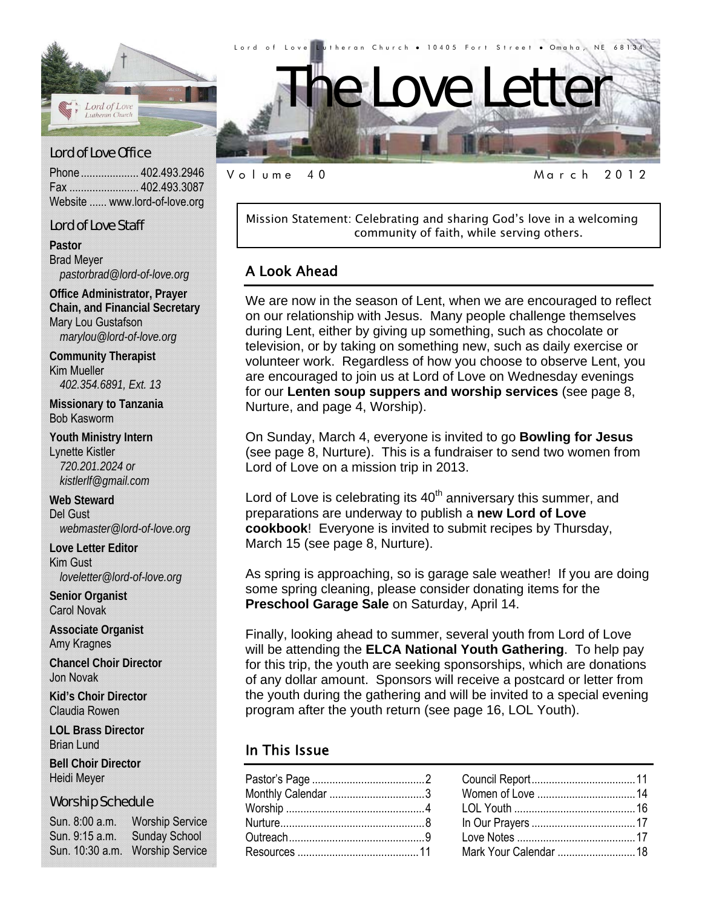

### Lord of Love Office

Phone .................... 402.493.2946 Fax ........................ 402.493.3087 Website ...... www.lord-of-love.org

### Lord of Love Staff

**Pastor**  Brad Meyer *pastorbrad@lord-of-love.org* 

**Office Administrator, Prayer Chain, and Financial Secretary**  Mary Lou Gustafson *marylou@lord-of-love.org* 

**Community Therapist**  Kim Mueller *402.354.6891, Ext. 13* 

**Missionary to Tanzania**  Bob Kasworm

**Youth Ministry Intern**  Lynette Kistler *720.201.2024 or kistlerlf@gmail.com* 

**Web Steward**  Del Gust *webmaster@lord-of-love.org* 

**Love Letter Editor**  Kim Gust *loveletter@lord-of-love.org* 

**Senior Organist**  Carol Novak

**Associate Organist**  Amy Kragnes

**Chancel Choir Director**  Jon Novak

**Kid's Choir Director**  Claudia Rowen

**LOL Brass Director**  Brian Lund

**Bell Choir Director**  Heidi Meyer

#### Worship Schedule

Sun. 8:00 a.m. Worship Service Sun. 9:15 a.m. Sunday School Sun. 10:30 a.m. Worship Service

Volume 40 March 2012

Mission Statement: Celebrating and sharing God's love in a welcoming community of faith, while serving others.

### A Look Ahead

We are now in the season of Lent, when we are encouraged to reflect on our relationship with Jesus. Many people challenge themselves during Lent, either by giving up something, such as chocolate or television, or by taking on something new, such as daily exercise or volunteer work. Regardless of how you choose to observe Lent, you are encouraged to join us at Lord of Love on Wednesday evenings for our **Lenten soup suppers and worship services** (see page 8, Nurture, and page 4, Worship).

On Sunday, March 4, everyone is invited to go **Bowling for Jesus** (see page 8, Nurture). This is a fundraiser to send two women from Lord of Love on a mission trip in 2013.

Lord of Love is celebrating its  $40<sup>th</sup>$  anniversary this summer, and preparations are underway to publish a **new Lord of Love cookbook**! Everyone is invited to submit recipes by Thursday, March 15 (see page 8, Nurture).

As spring is approaching, so is garage sale weather! If you are doing some spring cleaning, please consider donating items for the **Preschool Garage Sale** on Saturday, April 14.

Finally, looking ahead to summer, several youth from Lord of Love will be attending the **ELCA National Youth Gathering**. To help pay for this trip, the youth are seeking sponsorships, which are donations of any dollar amount. Sponsors will receive a postcard or letter from the youth during the gathering and will be invited to a special evening program after the youth return (see page 16, LOL Youth).

### In This Issue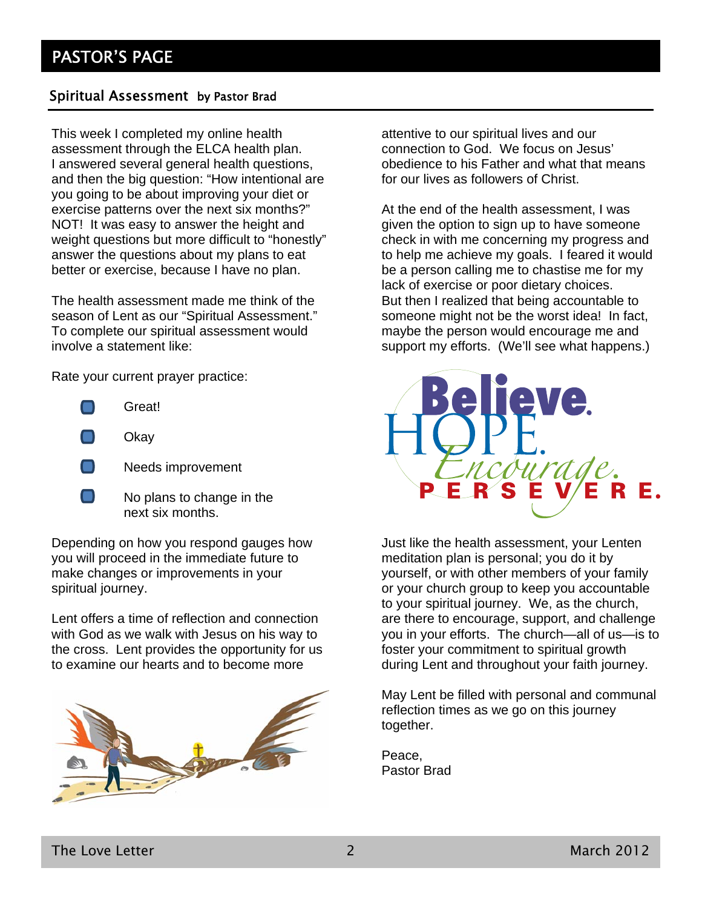### Spiritual Assessment by Pastor Brad

This week I completed my online health assessment through the ELCA health plan. I answered several general health questions, and then the big question: "How intentional are you going to be about improving your diet or exercise patterns over the next six months?" NOT! It was easy to answer the height and weight questions but more difficult to "honestly" answer the questions about my plans to eat better or exercise, because I have no plan.

The health assessment made me think of the season of Lent as our "Spiritual Assessment." To complete our spiritual assessment would involve a statement like:

Rate your current prayer practice:

- Great!
- Okay
- Needs improvement
- $\Box$  No plans to change in the next six months.

Depending on how you respond gauges how you will proceed in the immediate future to make changes or improvements in your spiritual journey.

Lent offers a time of reflection and connection with God as we walk with Jesus on his way to the cross. Lent provides the opportunity for us to examine our hearts and to become more



attentive to our spiritual lives and our connection to God. We focus on Jesus' obedience to his Father and what that means for our lives as followers of Christ.

At the end of the health assessment, I was given the option to sign up to have someone check in with me concerning my progress and to help me achieve my goals. I feared it would be a person calling me to chastise me for my lack of exercise or poor dietary choices. But then I realized that being accountable to someone might not be the worst idea! In fact, maybe the person would encourage me and support my efforts. (We'll see what happens.)



Just like the health assessment, your Lenten meditation plan is personal; you do it by yourself, or with other members of your family or your church group to keep you accountable to your spiritual journey. We, as the church, are there to encourage, support, and challenge you in your efforts. The church—all of us—is to foster your commitment to spiritual growth during Lent and throughout your faith journey.

May Lent be filled with personal and communal reflection times as we go on this journey together.

Peace, Pastor Brad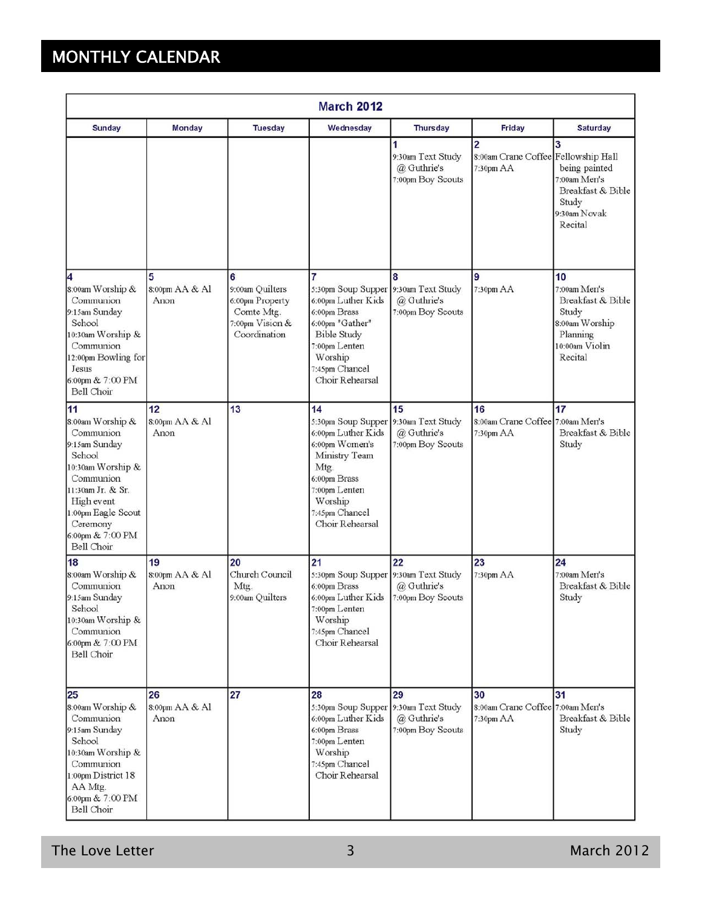# MONTHLY CALENDAR

| <b>March 2012</b>                                                                                                                                                                                       |                              |                                                                                          |                                                                                                                                                                            |                                                             |                                                                    |                                                                                                             |
|---------------------------------------------------------------------------------------------------------------------------------------------------------------------------------------------------------|------------------------------|------------------------------------------------------------------------------------------|----------------------------------------------------------------------------------------------------------------------------------------------------------------------------|-------------------------------------------------------------|--------------------------------------------------------------------|-------------------------------------------------------------------------------------------------------------|
| <b>Sunday</b>                                                                                                                                                                                           | <b>Monday</b>                | <b>Tuesday</b>                                                                           | Wednesday                                                                                                                                                                  | <b>Thursday</b>                                             | Friday                                                             | <b>Saturday</b>                                                                                             |
|                                                                                                                                                                                                         |                              |                                                                                          |                                                                                                                                                                            | 1<br>9:30am Text Study<br>@ Guthrie's<br>7:00pm Boy Scouts  | $\overline{2}$<br>8:00am Crane Coffee Fellowship Hall<br>7:30pm AA | 3<br>being painted<br>7:00am Men's<br>Breakfast & Bible<br>Study<br>9:30am Novak<br>Recital                 |
| 4<br>8:00am Worship &<br>Communion<br>9:15am Sunday<br>School<br>10:30am Worship &<br>Communion<br>12:00pm Bowling for<br>Jesus<br>6:00pm & 7:00 PM<br>Bell Choir                                       | 5<br>8:00pm AA & Al<br>Anon  | 6<br>9:00am Quilters<br>6:00pm Property<br>Comte Mtg.<br>7:00pm Vision &<br>Coordination | 7<br>5:30pm Soup Supper<br>6:00pm Luther Kids<br>6:00pm Brass<br>6:00pm "Gather"<br><b>Bible Study</b><br>7:00pm Lenten<br>Worship<br>7:45pm Chancel<br>Choir Rehearsal    | 8<br>9:30am Text Study<br>@ Guthrie's<br>7:00pm Boy Scouts  | 9<br>7:30pm AA                                                     | 10<br>7:00am Men's<br>Breakfast & Bible<br>Study<br>8:00am Worship<br>Planning<br>10:00am Violin<br>Recital |
| 11<br>8:00am Worship &<br>Communion<br>9:15am Sunday<br>School<br>10:30am Worship &<br>Communion<br>11:30am Jr. & Sr.<br>High event<br>1:00pm Eagle Scout<br>Ceremony<br>6:00pm & 7:00 PM<br>Bell Choir | 12<br>8:00pm AA & Al<br>Anon | 13                                                                                       | 14<br>5:30pm Soup Supper<br>6:00pm Luther Kids<br>6:00pm Women's<br>Ministry Team<br>Mtg.<br>6:00pm Brass<br>7:00pm Lenten<br>Worship<br>7:45pm Chancel<br>Choir Rehearsal | 15<br>9:30am Text Study<br>@ Guthrie's<br>7:00pm Boy Scouts | 16<br>8:00am Crane Coffee 7:00am Men's<br>7:30pm AA                | 17<br>Breakfast & Bible<br>Study                                                                            |
| 18<br>8:00am Worship &<br>Communion<br>9:15am Sunday<br>School<br>10:30am Worship &<br>Communion<br>6:00pm & 7:00 PM<br>Bell Choir                                                                      | 19<br>8:00pm AA & Al<br>Anon | 20<br>Church Council<br>Mtg.<br>9:00am Quilters                                          | 21<br>5:30pm Soup Supper 9:30am Text Study<br>6:00pm Brass<br>6:00pm Luther Kids<br>7:00pm Lenten<br>Worship<br>7:45pm Chancel<br>Choir Rehearsal                          | 22<br>@ Guthrie's<br>7:00pm Boy Scouts                      | 23<br>7:30pm AA                                                    | 24<br>7:00am Men's<br>Breakfast & Bible<br>Study                                                            |
| 25<br>8:00am Worship &<br>Communion<br>9:15am Sunday<br>School<br>10:30am Worship &<br>Communion<br>1:00pm District 18<br>AA Mtg.<br>6:00pm & 7:00 PM<br>Bell Choir                                     | 26<br>8:00pm AA & Al<br>Anon | 27                                                                                       | 28<br>5:30pm Soup Supper<br>6:00pm Luther Kids<br>6:00pm Brass<br>7:00pm Lenten<br>Worship<br>7:45pm Chancel<br>Choir Rehearsal                                            | 29<br>9:30am Text Study<br>@ Guthrie's<br>7:00pm Boy Scouts | 30<br>8:00am Crane Coffee 7:00am Men's<br>7:30pm AA                | 31<br>Breakfast & Bible<br>Study                                                                            |

The Love Letter **3** March 2012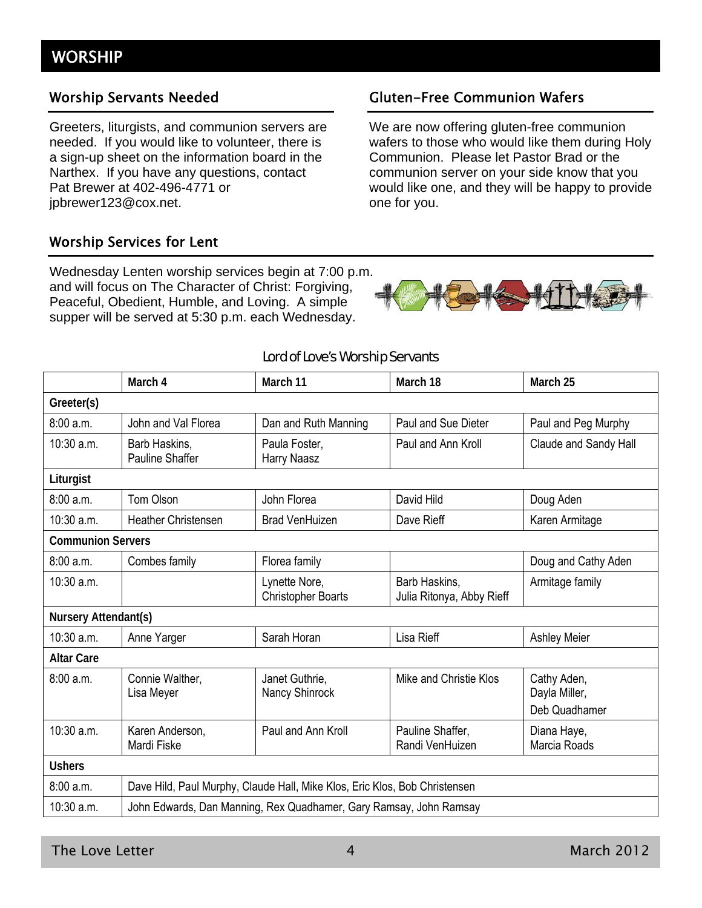### Worship Servants Needed

Greeters, liturgists, and communion servers are needed. If you would like to volunteer, there is a sign-up sheet on the information board in the Narthex. If you have any questions, contact Pat Brewer at 402-496-4771 or jpbrewer123@cox.net.

### Worship Services for Lent

Wednesday Lenten worship services begin at 7:00 p.m. and will focus on The Character of Christ: Forgiving, Peaceful, Obedient, Humble, and Loving. A simple supper will be served at 5:30 p.m. each Wednesday.

### Gluten-Free Communion Wafers

We are now offering gluten-free communion wafers to those who would like them during Holy Communion. Please let Pastor Brad or the communion server on your side know that you would like one, and they will be happy to provide one for you.



#### Lord of Love's Worship Servants

|                          | March 4                                                                    | March 11                                   | March 18                                   | March 25                                      |  |
|--------------------------|----------------------------------------------------------------------------|--------------------------------------------|--------------------------------------------|-----------------------------------------------|--|
| Greeter(s)               |                                                                            |                                            |                                            |                                               |  |
| 8:00a.m.                 | John and Val Florea                                                        | Dan and Ruth Manning                       | Paul and Sue Dieter                        | Paul and Peg Murphy                           |  |
| 10:30 a.m.               | Barb Haskins,<br><b>Pauline Shaffer</b>                                    | Paula Foster,<br>Harry Naasz               | Paul and Ann Kroll                         | Claude and Sandy Hall                         |  |
| Liturgist                |                                                                            |                                            |                                            |                                               |  |
| 8:00 a.m.                | Tom Olson                                                                  | John Florea                                | David Hild                                 | Doug Aden                                     |  |
| $10:30$ a.m.             | <b>Heather Christensen</b>                                                 | <b>Brad VenHuizen</b>                      | Dave Rieff                                 | Karen Armitage                                |  |
| <b>Communion Servers</b> |                                                                            |                                            |                                            |                                               |  |
| 8:00 a.m.                | Combes family                                                              | Florea family                              |                                            | Doug and Cathy Aden                           |  |
| 10:30 a.m.               |                                                                            | Lynette Nore,<br><b>Christopher Boarts</b> | Barb Haskins,<br>Julia Ritonya, Abby Rieff | Armitage family                               |  |
| Nursery Attendant(s)     |                                                                            |                                            |                                            |                                               |  |
| 10:30 a.m.               | Anne Yarger                                                                | Sarah Horan                                | Lisa Rieff                                 | <b>Ashley Meier</b>                           |  |
| <b>Altar Care</b>        |                                                                            |                                            |                                            |                                               |  |
| 8:00 a.m.                | Connie Walther,<br>Lisa Meyer                                              | Janet Guthrie,<br>Nancy Shinrock           | Mike and Christie Klos                     | Cathy Aden,<br>Dayla Miller,<br>Deb Quadhamer |  |
| 10:30 a.m.               | Karen Anderson,<br>Mardi Fiske                                             | Paul and Ann Kroll                         | Pauline Shaffer,<br>Randi VenHuizen        | Diana Haye,<br>Marcia Roads                   |  |
| <b>Ushers</b>            |                                                                            |                                            |                                            |                                               |  |
| 8:00 a.m.                | Dave Hild, Paul Murphy, Claude Hall, Mike Klos, Eric Klos, Bob Christensen |                                            |                                            |                                               |  |
| 10:30 a.m.               | John Edwards, Dan Manning, Rex Quadhamer, Gary Ramsay, John Ramsay         |                                            |                                            |                                               |  |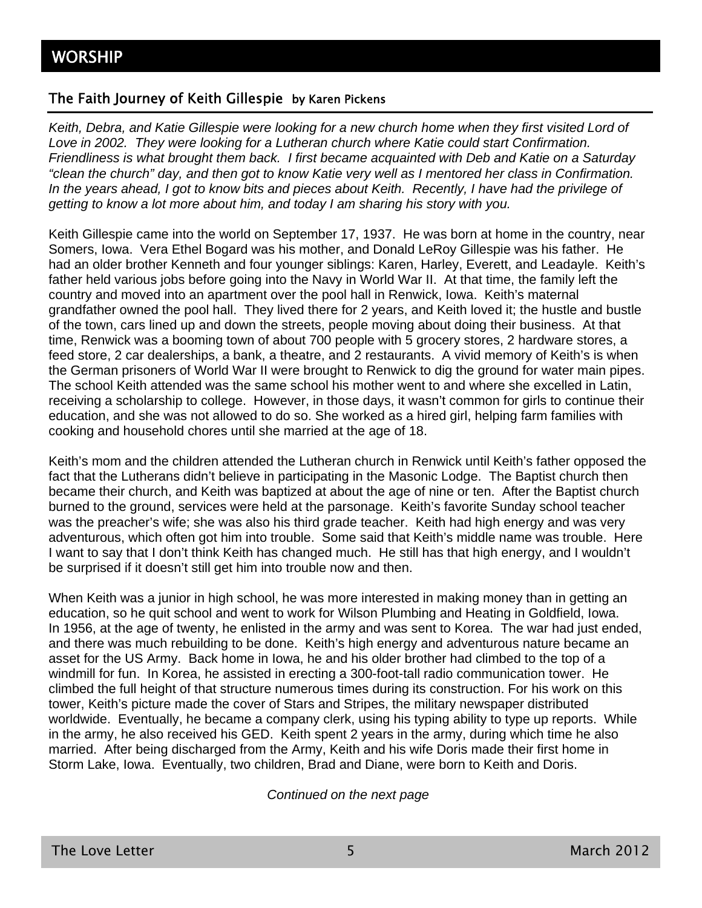### The Faith Journey of Keith Gillespie by Karen Pickens

*Keith, Debra, and Katie Gillespie were looking for a new church home when they first visited Lord of Love in 2002. They were looking for a Lutheran church where Katie could start Confirmation. Friendliness is what brought them back. I first became acquainted with Deb and Katie on a Saturday "clean the church" day, and then got to know Katie very well as I mentored her class in Confirmation. In the years ahead, I got to know bits and pieces about Keith. Recently, I have had the privilege of getting to know a lot more about him, and today I am sharing his story with you.* 

Keith Gillespie came into the world on September 17, 1937. He was born at home in the country, near Somers, Iowa. Vera Ethel Bogard was his mother, and Donald LeRoy Gillespie was his father. He had an older brother Kenneth and four younger siblings: Karen, Harley, Everett, and Leadayle. Keith's father held various jobs before going into the Navy in World War II. At that time, the family left the country and moved into an apartment over the pool hall in Renwick, Iowa. Keith's maternal grandfather owned the pool hall. They lived there for 2 years, and Keith loved it; the hustle and bustle of the town, cars lined up and down the streets, people moving about doing their business. At that time, Renwick was a booming town of about 700 people with 5 grocery stores, 2 hardware stores, a feed store, 2 car dealerships, a bank, a theatre, and 2 restaurants. A vivid memory of Keith's is when the German prisoners of World War II were brought to Renwick to dig the ground for water main pipes. The school Keith attended was the same school his mother went to and where she excelled in Latin, receiving a scholarship to college. However, in those days, it wasn't common for girls to continue their education, and she was not allowed to do so. She worked as a hired girl, helping farm families with cooking and household chores until she married at the age of 18.

Keith's mom and the children attended the Lutheran church in Renwick until Keith's father opposed the fact that the Lutherans didn't believe in participating in the Masonic Lodge. The Baptist church then became their church, and Keith was baptized at about the age of nine or ten. After the Baptist church burned to the ground, services were held at the parsonage. Keith's favorite Sunday school teacher was the preacher's wife; she was also his third grade teacher. Keith had high energy and was very adventurous, which often got him into trouble. Some said that Keith's middle name was trouble. Here I want to say that I don't think Keith has changed much. He still has that high energy, and I wouldn't be surprised if it doesn't still get him into trouble now and then.

When Keith was a junior in high school, he was more interested in making money than in getting an education, so he quit school and went to work for Wilson Plumbing and Heating in Goldfield, Iowa. In 1956, at the age of twenty, he enlisted in the army and was sent to Korea. The war had just ended, and there was much rebuilding to be done. Keith's high energy and adventurous nature became an asset for the US Army. Back home in Iowa, he and his older brother had climbed to the top of a windmill for fun. In Korea, he assisted in erecting a 300-foot-tall radio communication tower. He climbed the full height of that structure numerous times during its construction. For his work on this tower, Keith's picture made the cover of Stars and Stripes, the military newspaper distributed worldwide. Eventually, he became a company clerk, using his typing ability to type up reports. While in the army, he also received his GED. Keith spent 2 years in the army, during which time he also married. After being discharged from the Army, Keith and his wife Doris made their first home in Storm Lake, Iowa. Eventually, two children, Brad and Diane, were born to Keith and Doris.

*Continued on the next page*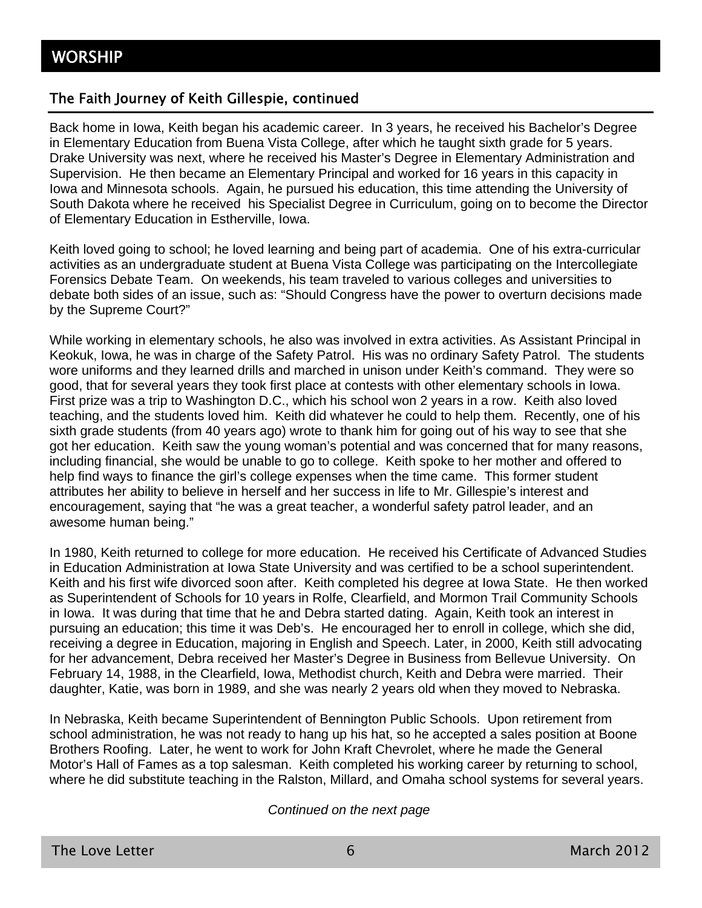### The Faith Journey of Keith Gillespie, continued

Back home in Iowa, Keith began his academic career. In 3 years, he received his Bachelor's Degree in Elementary Education from Buena Vista College, after which he taught sixth grade for 5 years. Drake University was next, where he received his Master's Degree in Elementary Administration and Supervision. He then became an Elementary Principal and worked for 16 years in this capacity in Iowa and Minnesota schools. Again, he pursued his education, this time attending the University of South Dakota where he received his Specialist Degree in Curriculum, going on to become the Director of Elementary Education in Estherville, Iowa.

Keith loved going to school; he loved learning and being part of academia. One of his extra-curricular activities as an undergraduate student at Buena Vista College was participating on the Intercollegiate Forensics Debate Team. On weekends, his team traveled to various colleges and universities to debate both sides of an issue, such as: "Should Congress have the power to overturn decisions made by the Supreme Court?"

While working in elementary schools, he also was involved in extra activities. As Assistant Principal in Keokuk, Iowa, he was in charge of the Safety Patrol. His was no ordinary Safety Patrol. The students wore uniforms and they learned drills and marched in unison under Keith's command. They were so good, that for several years they took first place at contests with other elementary schools in Iowa. First prize was a trip to Washington D.C., which his school won 2 years in a row. Keith also loved teaching, and the students loved him. Keith did whatever he could to help them. Recently, one of his sixth grade students (from 40 years ago) wrote to thank him for going out of his way to see that she got her education. Keith saw the young woman's potential and was concerned that for many reasons, including financial, she would be unable to go to college. Keith spoke to her mother and offered to help find ways to finance the girl's college expenses when the time came. This former student attributes her ability to believe in herself and her success in life to Mr. Gillespie's interest and encouragement, saying that "he was a great teacher, a wonderful safety patrol leader, and an awesome human being."

In 1980, Keith returned to college for more education. He received his Certificate of Advanced Studies in Education Administration at Iowa State University and was certified to be a school superintendent. Keith and his first wife divorced soon after. Keith completed his degree at Iowa State. He then worked as Superintendent of Schools for 10 years in Rolfe, Clearfield, and Mormon Trail Community Schools in Iowa. It was during that time that he and Debra started dating. Again, Keith took an interest in pursuing an education; this time it was Deb's. He encouraged her to enroll in college, which she did, receiving a degree in Education, majoring in English and Speech. Later, in 2000, Keith still advocating for her advancement, Debra received her Master's Degree in Business from Bellevue University. On February 14, 1988, in the Clearfield, Iowa, Methodist church, Keith and Debra were married. Their daughter, Katie, was born in 1989, and she was nearly 2 years old when they moved to Nebraska.

In Nebraska, Keith became Superintendent of Bennington Public Schools. Upon retirement from school administration, he was not ready to hang up his hat, so he accepted a sales position at Boone Brothers Roofing. Later, he went to work for John Kraft Chevrolet, where he made the General Motor's Hall of Fames as a top salesman. Keith completed his working career by returning to school, where he did substitute teaching in the Ralston, Millard, and Omaha school systems for several years.

#### *Continued on the next page*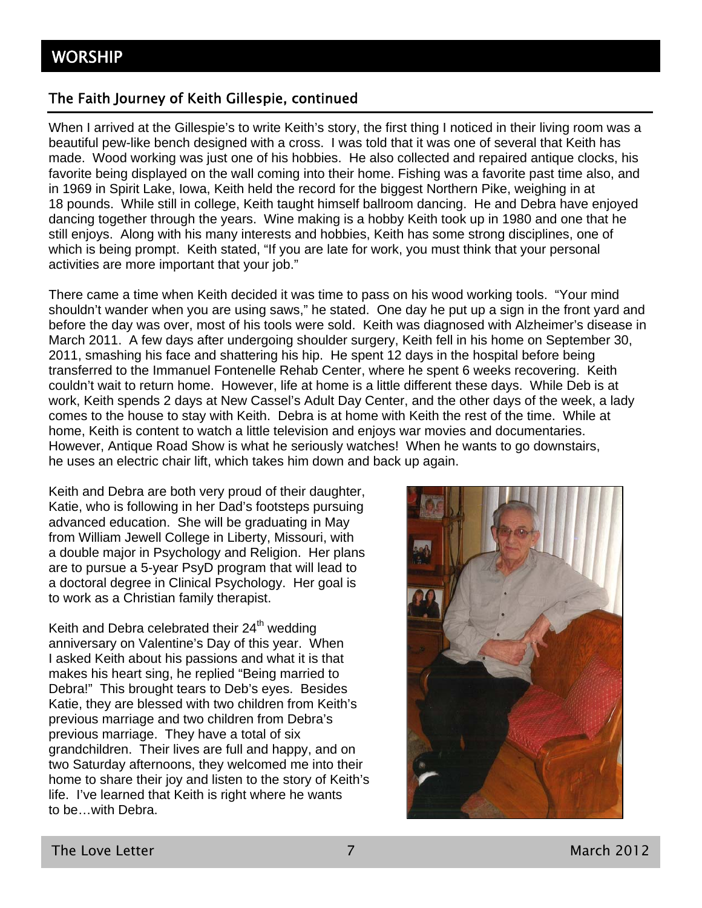### The Faith Journey of Keith Gillespie, continued

When I arrived at the Gillespie's to write Keith's story, the first thing I noticed in their living room was a beautiful pew-like bench designed with a cross. I was told that it was one of several that Keith has made. Wood working was just one of his hobbies. He also collected and repaired antique clocks, his favorite being displayed on the wall coming into their home. Fishing was a favorite past time also, and in 1969 in Spirit Lake, Iowa, Keith held the record for the biggest Northern Pike, weighing in at 18 pounds. While still in college, Keith taught himself ballroom dancing. He and Debra have enjoyed dancing together through the years. Wine making is a hobby Keith took up in 1980 and one that he still enjoys. Along with his many interests and hobbies, Keith has some strong disciplines, one of which is being prompt. Keith stated, "If you are late for work, you must think that your personal activities are more important that your job."

There came a time when Keith decided it was time to pass on his wood working tools. "Your mind shouldn't wander when you are using saws," he stated. One day he put up a sign in the front yard and before the day was over, most of his tools were sold. Keith was diagnosed with Alzheimer's disease in March 2011. A few days after undergoing shoulder surgery, Keith fell in his home on September 30, 2011, smashing his face and shattering his hip. He spent 12 days in the hospital before being transferred to the Immanuel Fontenelle Rehab Center, where he spent 6 weeks recovering. Keith couldn't wait to return home. However, life at home is a little different these days. While Deb is at work, Keith spends 2 days at New Cassel's Adult Day Center, and the other days of the week, a lady comes to the house to stay with Keith. Debra is at home with Keith the rest of the time. While at home, Keith is content to watch a little television and enjoys war movies and documentaries. However, Antique Road Show is what he seriously watches! When he wants to go downstairs, he uses an electric chair lift, which takes him down and back up again.

Keith and Debra are both very proud of their daughter, Katie, who is following in her Dad's footsteps pursuing advanced education. She will be graduating in May from William Jewell College in Liberty, Missouri, with a double major in Psychology and Religion. Her plans are to pursue a 5-year PsyD program that will lead to a doctoral degree in Clinical Psychology. Her goal is to work as a Christian family therapist.

Keith and Debra celebrated their 24<sup>th</sup> wedding anniversary on Valentine's Day of this year. When I asked Keith about his passions and what it is that makes his heart sing, he replied "Being married to Debra!" This brought tears to Deb's eyes. Besides Katie, they are blessed with two children from Keith's previous marriage and two children from Debra's previous marriage. They have a total of six grandchildren. Their lives are full and happy, and on two Saturday afternoons, they welcomed me into their home to share their joy and listen to the story of Keith's life. I've learned that Keith is right where he wants to be…with Debra.

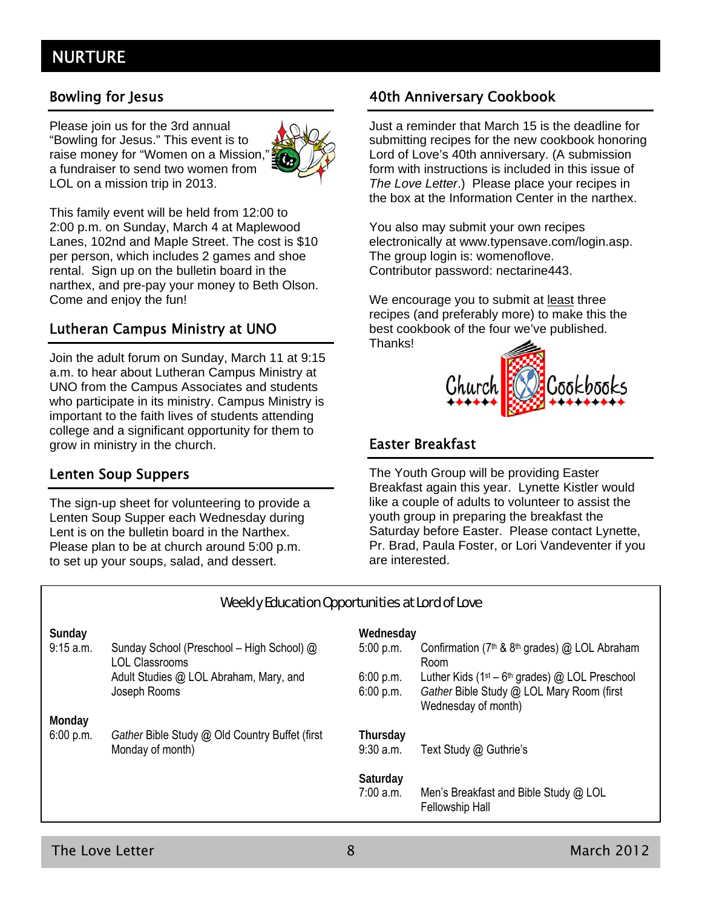### NURTURE

Please join us for the 3rd annual "Bowling for Jesus." This event is to raise money for "Women on a Mission," a fundraiser to send two women from LOL on a mission trip in 2013.



This family event will be held from 12:00 to 2:00 p.m. on Sunday, March 4 at Maplewood Lanes, 102nd and Maple Street. The cost is \$10 per person, which includes 2 games and shoe rental. Sign up on the bulletin board in the narthex, and pre-pay your money to Beth Olson. Come and enjoy the fun!

### Lutheran Campus Ministry at UNO

Join the adult forum on Sunday, March 11 at 9:15 a.m. to hear about Lutheran Campus Ministry at UNO from the Campus Associates and students who participate in its ministry. Campus Ministry is important to the faith lives of students attending college and a significant opportunity for them to grow in ministry in the church.

### Lenten Soup Suppers

The sign-up sheet for volunteering to provide a Lenten Soup Supper each Wednesday during Lent is on the bulletin board in the Narthex. Please plan to be at church around 5:00 p.m. to set up your soups, salad, and dessert.

### Bowling for Jesus **1988** and 20th Anniversary Cookbook

Just a reminder that March 15 is the deadline for submitting recipes for the new cookbook honoring Lord of Love's 40th anniversary. (A submission form with instructions is included in this issue of *The Love Letter*.) Please place your recipes in the box at the Information Center in the narthex.

You also may submit your own recipes electronically at www.typensave.com/login.asp. The group login is: womenoflove. Contributor password: nectarine443.

We encourage you to submit at least three recipes (and preferably more) to make this the best cookbook of the four we've published. Thanks!



### Easter Breakfast

The Youth Group will be providing Easter Breakfast again this year. Lynette Kistler would like a couple of adults to volunteer to assist the youth group in preparing the breakfast the Saturday before Easter. Please contact Lynette, Pr. Brad, Paula Foster, or Lori Vandeventer if you are interested.

| Weekly Education Opportunities at Lord of Love |                                                                    |                        |                                                                                                                       |  |
|------------------------------------------------|--------------------------------------------------------------------|------------------------|-----------------------------------------------------------------------------------------------------------------------|--|
| Sunday                                         |                                                                    | Wednesday              |                                                                                                                       |  |
| 9:15 a.m.                                      | Sunday School (Preschool - High School) @<br><b>LOL Classrooms</b> | 5:00 p.m.              | Confirmation ( $7th$ & $8th$ grades) @ LOL Abraham<br>Room                                                            |  |
|                                                | Adult Studies @ LOL Abraham, Mary, and<br>Joseph Rooms             | 6:00 p.m.<br>6:00 p.m. | Luther Kids ( $1st - 6th$ grades) @ LOL Preschool<br>Gather Bible Study @ LOL Mary Room (first<br>Wednesday of month) |  |
| Monday                                         |                                                                    |                        |                                                                                                                       |  |
| 6:00 p.m.                                      | Gather Bible Study @ Old Country Buffet (first<br>Monday of month) | Thursday<br>9:30 a.m.  | Text Study @ Guthrie's                                                                                                |  |
|                                                |                                                                    | Saturday<br>7:00 a.m.  | Men's Breakfast and Bible Study @ LOL<br><b>Fellowship Hall</b>                                                       |  |

### The Love Letter **8** March 2012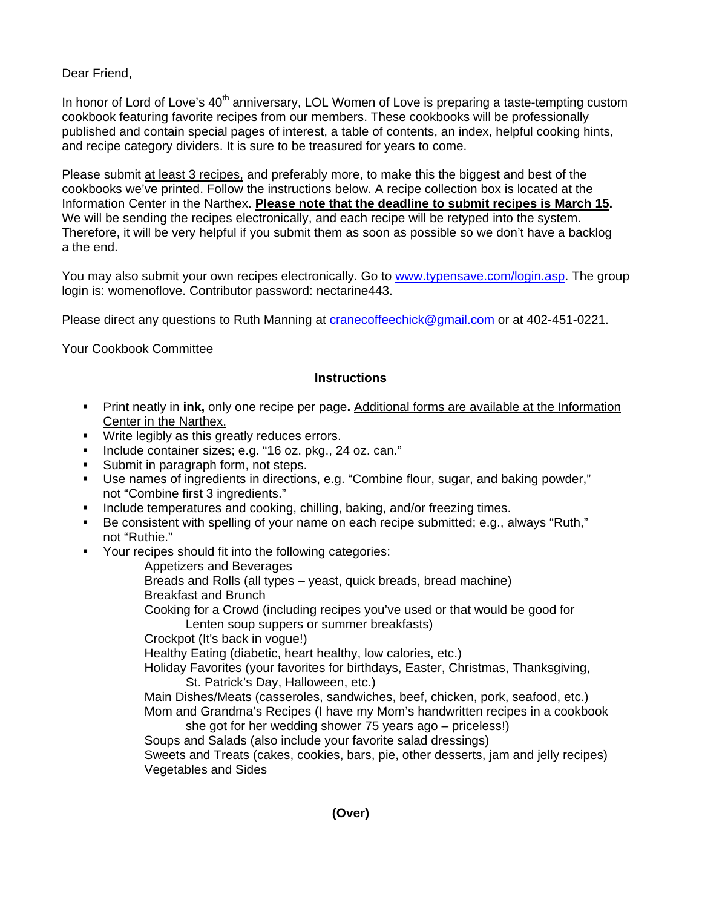Dear Friend,

In honor of Lord of Love's 40<sup>th</sup> anniversary, LOL Women of Love is preparing a taste-tempting custom cookbook featuring favorite recipes from our members. These cookbooks will be professionally published and contain special pages of interest, a table of contents, an index, helpful cooking hints, and recipe category dividers. It is sure to be treasured for years to come.

Please submit at least 3 recipes, and preferably more, to make this the biggest and best of the cookbooks we've printed. Follow the instructions below. A recipe collection box is located at the Information Center in the Narthex. **Please note that the deadline to submit recipes is March 15.** We will be sending the recipes electronically, and each recipe will be retyped into the system. Therefore, it will be very helpful if you submit them as soon as possible so we don't have a backlog a the end.

You may also submit your own recipes electronically. Go to www.typensave.com/login.asp. The group login is: womenoflove. Contributor password: nectarine443.

Please direct any questions to Ruth Manning at cranecoffeechick@gmail.com or at 402-451-0221.

Your Cookbook Committee

### **Instructions**

- Print neatly in **ink,** only one recipe per page**.** Additional forms are available at the Information Center in the Narthex.
- **Write legibly as this greatly reduces errors.**
- Include container sizes; e.g. "16 oz. pkg., 24 oz. can."
- Submit in paragraph form, not steps.
- Use names of ingredients in directions, e.g. "Combine flour, sugar, and baking powder," not "Combine first 3 ingredients."
- Include temperatures and cooking, chilling, baking, and/or freezing times.
- Be consistent with spelling of your name on each recipe submitted; e.g., always "Ruth," not "Ruthie."
- **Your recipes should fit into the following categories:**

Appetizers and Beverages Breads and Rolls (all types – yeast, quick breads, bread machine) Breakfast and Brunch Cooking for a Crowd (including recipes you've used or that would be good for Lenten soup suppers or summer breakfasts) Crockpot (It's back in vogue!) Healthy Eating (diabetic, heart healthy, low calories, etc.) Holiday Favorites (your favorites for birthdays, Easter, Christmas, Thanksgiving, St. Patrick's Day, Halloween, etc.) Main Dishes/Meats (casseroles, sandwiches, beef, chicken, pork, seafood, etc.) Mom and Grandma's Recipes (I have my Mom's handwritten recipes in a cookbook

she got for her wedding shower 75 years ago – priceless!) Soups and Salads (also include your favorite salad dressings) Sweets and Treats (cakes, cookies, bars, pie, other desserts, jam and jelly recipes) Vegetables and Sides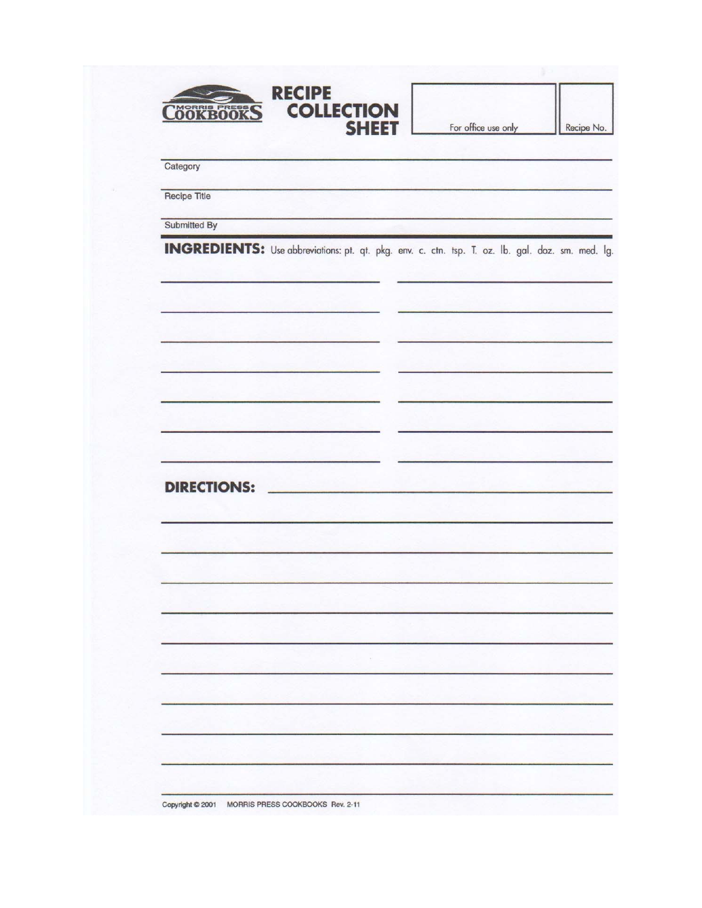| <b>OOKBOOKS</b>    | <b>RECIPE</b><br><b>COLLECTION</b><br><b>SHEET</b>                                                      | For office use only |  |
|--------------------|---------------------------------------------------------------------------------------------------------|---------------------|--|
| Category           |                                                                                                         |                     |  |
| Recipe Title       |                                                                                                         |                     |  |
| Submitted By       |                                                                                                         |                     |  |
|                    | <b>INGREDIENTS:</b> Use abbreviations: pt. qt. pkg. env. c. ctn. tsp. T. oz. lb. gal. doz. sm. med. lg. |                     |  |
|                    |                                                                                                         |                     |  |
|                    |                                                                                                         |                     |  |
|                    |                                                                                                         |                     |  |
|                    |                                                                                                         |                     |  |
| <b>DIRECTIONS:</b> |                                                                                                         |                     |  |
|                    |                                                                                                         |                     |  |
|                    |                                                                                                         |                     |  |
|                    |                                                                                                         |                     |  |
|                    |                                                                                                         |                     |  |
|                    |                                                                                                         |                     |  |
|                    |                                                                                                         |                     |  |
|                    |                                                                                                         |                     |  |
|                    |                                                                                                         |                     |  |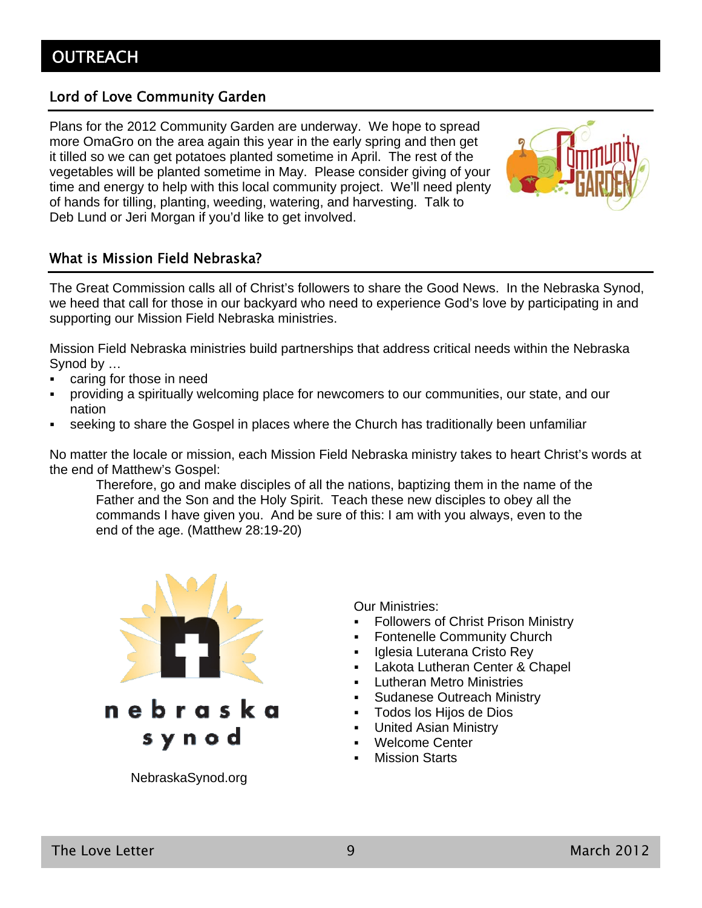### Lord of Love Community Garden

Plans for the 2012 Community Garden are underway. We hope to spread more OmaGro on the area again this year in the early spring and then get it tilled so we can get potatoes planted sometime in April. The rest of the vegetables will be planted sometime in May. Please consider giving of your time and energy to help with this local community project. We'll need plenty of hands for tilling, planting, weeding, watering, and harvesting. Talk to Deb Lund or Jeri Morgan if you'd like to get involved.



### What is Mission Field Nebraska?

The Great Commission calls all of Christ's followers to share the Good News. In the Nebraska Synod, we heed that call for those in our backyard who need to experience God's love by participating in and supporting our Mission Field Nebraska ministries.

Mission Field Nebraska ministries build partnerships that address critical needs within the Nebraska Synod by …

- caring for those in need
- providing a spiritually welcoming place for newcomers to our communities, our state, and our nation
- seeking to share the Gospel in places where the Church has traditionally been unfamiliar

No matter the locale or mission, each Mission Field Nebraska ministry takes to heart Christ's words at the end of Matthew's Gospel:

Therefore, go and make disciples of all the nations, baptizing them in the name of the Father and the Son and the Holy Spirit. Teach these new disciples to obey all the commands I have given you. And be sure of this: I am with you always, even to the end of the age. (Matthew 28:19-20)



NebraskaSynod.org

Our Ministries:

- Followers of Christ Prison Ministry
- Fontenelle Community Church
- Iglesia Luterana Cristo Rey
- Lakota Lutheran Center & Chapel
- **-** Lutheran Metro Ministries
- Sudanese Outreach Ministry
- Todos los Hijos de Dios
- United Asian Ministry
- Welcome Center
- Mission Starts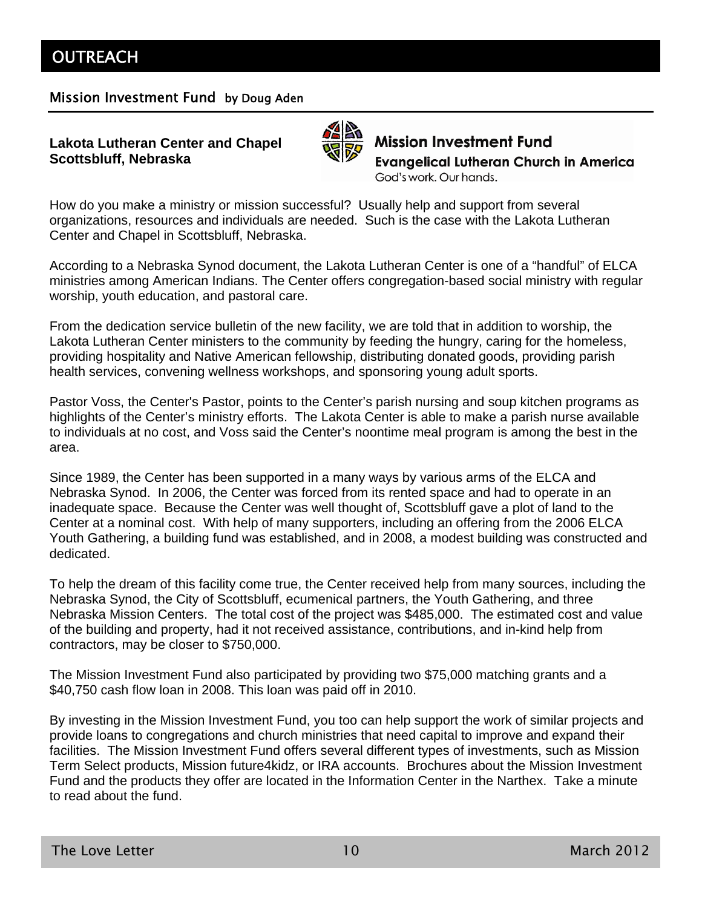### Mission Investment Fund by Doug Aden

### **Lakota Lutheran Center and Chapel Scottsbluff, Nebraska**



**Mission Investment Fund Evangelical Lutheran Church in America** God's work. Our hands.

How do you make a ministry or mission successful? Usually help and support from several organizations, resources and individuals are needed. Such is the case with the Lakota Lutheran Center and Chapel in Scottsbluff, Nebraska.

According to a Nebraska Synod document, the Lakota Lutheran Center is one of a "handful" of ELCA ministries among American Indians. The Center offers congregation-based social ministry with regular worship, youth education, and pastoral care.

From the dedication service bulletin of the new facility, we are told that in addition to worship, the Lakota Lutheran Center ministers to the community by feeding the hungry, caring for the homeless, providing hospitality and Native American fellowship, distributing donated goods, providing parish health services, convening wellness workshops, and sponsoring young adult sports.

Pastor Voss, the Center's Pastor, points to the Center's parish nursing and soup kitchen programs as highlights of the Center's ministry efforts. The Lakota Center is able to make a parish nurse available to individuals at no cost, and Voss said the Center's noontime meal program is among the best in the area.

Since 1989, the Center has been supported in a many ways by various arms of the ELCA and Nebraska Synod. In 2006, the Center was forced from its rented space and had to operate in an inadequate space. Because the Center was well thought of, Scottsbluff gave a plot of land to the Center at a nominal cost. With help of many supporters, including an offering from the 2006 ELCA Youth Gathering, a building fund was established, and in 2008, a modest building was constructed and dedicated.

To help the dream of this facility come true, the Center received help from many sources, including the Nebraska Synod, the City of Scottsbluff, ecumenical partners, the Youth Gathering, and three Nebraska Mission Centers. The total cost of the project was \$485,000. The estimated cost and value of the building and property, had it not received assistance, contributions, and in-kind help from contractors, may be closer to \$750,000.

The Mission Investment Fund also participated by providing two \$75,000 matching grants and a \$40,750 cash flow loan in 2008. This loan was paid off in 2010.

By investing in the Mission Investment Fund, you too can help support the work of similar projects and provide loans to congregations and church ministries that need capital to improve and expand their facilities. The Mission Investment Fund offers several different types of investments, such as Mission Term Select products, Mission future4kidz, or IRA accounts. Brochures about the Mission Investment Fund and the products they offer are located in the Information Center in the Narthex. Take a minute to read about the fund.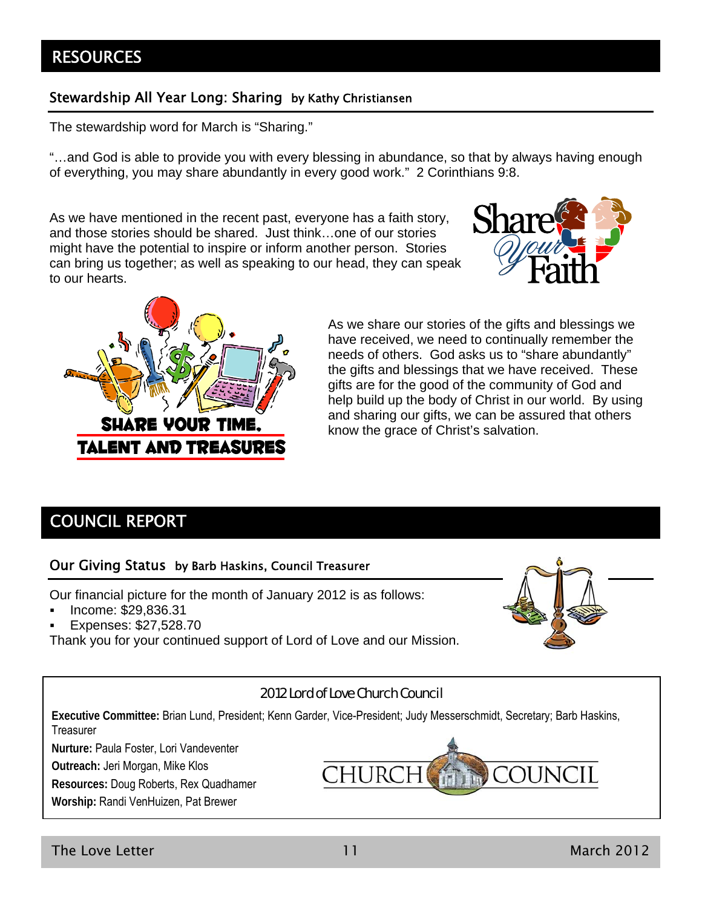### **RESOURCES**

### Stewardship All Year Long: Sharing by Kathy Christiansen

The stewardship word for March is "Sharing."

"…and God is able to provide you with every blessing in abundance, so that by always having enough of everything, you may share abundantly in every good work." 2 Corinthians 9:8.

As we have mentioned in the recent past, everyone has a faith story, and those stories should be shared. Just think…one of our stories might have the potential to inspire or inform another person. Stories can bring us together; as well as speaking to our head, they can speak to our hearts.





As we share our stories of the gifts and blessings we have received, we need to continually remember the needs of others. God asks us to "share abundantly" the gifts and blessings that we have received. These gifts are for the good of the community of God and help build up the body of Christ in our world. By using and sharing our gifts, we can be assured that others know the grace of Christ's salvation.

### COUNCIL REPORT

### Our Giving Status by Barb Haskins, Council Treasurer

Our financial picture for the month of January 2012 is as follows:

- Income: \$29,836.31
- Expenses: \$27,528.70

Thank you for your continued support of Lord of Love and our Mission.



### 2012 Lord of Love Church Council

**Executive Committee:** Brian Lund, President; Kenn Garder, Vice-President; Judy Messerschmidt, Secretary; Barb Haskins, **Treasurer** 

**Nurture:** Paula Foster, Lori Vandeventer

**Outreach:** Jeri Morgan, Mike Klos

**Resources:** Doug Roberts, Rex Quadhamer

**Worship:** Randi VenHuizen, Pat Brewer

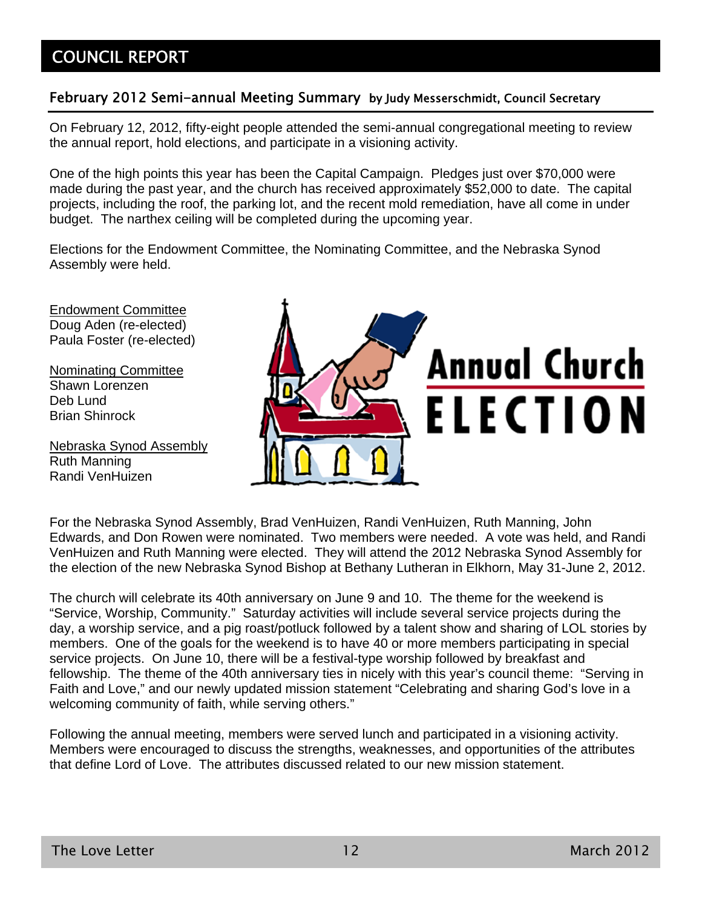### COUNCIL REPORT

### February 2012 Semi-annual Meeting Summary by Judy Messerschmidt, Council Secretary

On February 12, 2012, fifty-eight people attended the semi-annual congregational meeting to review the annual report, hold elections, and participate in a visioning activity.

One of the high points this year has been the Capital Campaign. Pledges just over \$70,000 were made during the past year, and the church has received approximately \$52,000 to date. The capital projects, including the roof, the parking lot, and the recent mold remediation, have all come in under budget. The narthex ceiling will be completed during the upcoming year.

Elections for the Endowment Committee, the Nominating Committee, and the Nebraska Synod Assembly were held.

Endowment Committee Doug Aden (re-elected) Paula Foster (re-elected)

Nominating Committee Shawn Lorenzen Deb Lund Brian Shinrock

Nebraska Synod Assembly Ruth Manning Randi VenHuizen



For the Nebraska Synod Assembly, Brad VenHuizen, Randi VenHuizen, Ruth Manning, John Edwards, and Don Rowen were nominated. Two members were needed. A vote was held, and Randi VenHuizen and Ruth Manning were elected. They will attend the 2012 Nebraska Synod Assembly for the election of the new Nebraska Synod Bishop at Bethany Lutheran in Elkhorn, May 31-June 2, 2012.

The church will celebrate its 40th anniversary on June 9 and 10. The theme for the weekend is "Service, Worship, Community." Saturday activities will include several service projects during the day, a worship service, and a pig roast/potluck followed by a talent show and sharing of LOL stories by members. One of the goals for the weekend is to have 40 or more members participating in special service projects. On June 10, there will be a festival-type worship followed by breakfast and fellowship. The theme of the 40th anniversary ties in nicely with this year's council theme: "Serving in Faith and Love," and our newly updated mission statement "Celebrating and sharing God's love in a welcoming community of faith, while serving others."

Following the annual meeting, members were served lunch and participated in a visioning activity. Members were encouraged to discuss the strengths, weaknesses, and opportunities of the attributes that define Lord of Love. The attributes discussed related to our new mission statement.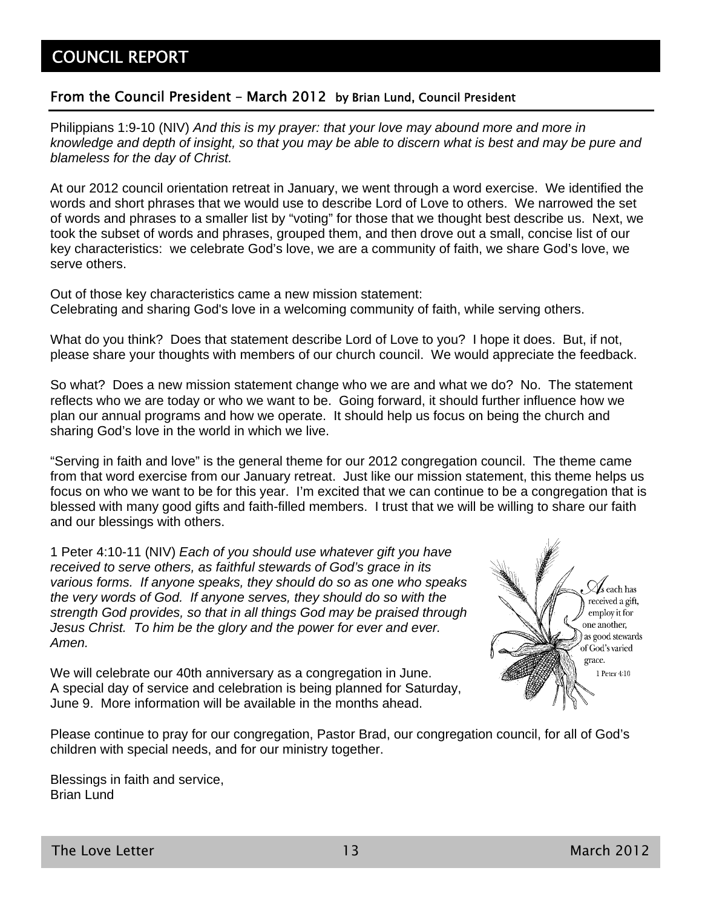### From the Council President – March 2012 by Brian Lund, Council President

Philippians 1:9-10 (NIV) *And this is my prayer: that your love may abound more and more in knowledge and depth of insight, so that you may be able to discern what is best and may be pure and blameless for the day of Christ.*

At our 2012 council orientation retreat in January, we went through a word exercise. We identified the words and short phrases that we would use to describe Lord of Love to others. We narrowed the set of words and phrases to a smaller list by "voting" for those that we thought best describe us. Next, we took the subset of words and phrases, grouped them, and then drove out a small, concise list of our key characteristics: we celebrate God's love, we are a community of faith, we share God's love, we serve others.

Out of those key characteristics came a new mission statement: Celebrating and sharing God's love in a welcoming community of faith, while serving others.

What do you think? Does that statement describe Lord of Love to you? I hope it does. But, if not, please share your thoughts with members of our church council. We would appreciate the feedback.

So what? Does a new mission statement change who we are and what we do? No. The statement reflects who we are today or who we want to be. Going forward, it should further influence how we plan our annual programs and how we operate. It should help us focus on being the church and sharing God's love in the world in which we live.

"Serving in faith and love" is the general theme for our 2012 congregation council. The theme came from that word exercise from our January retreat. Just like our mission statement, this theme helps us focus on who we want to be for this year. I'm excited that we can continue to be a congregation that is blessed with many good gifts and faith-filled members. I trust that we will be willing to share our faith and our blessings with others.

1 Peter 4:10-11 (NIV) *Each of you should use whatever gift you have received to serve others, as faithful stewards of God's grace in its various forms. If anyone speaks, they should do so as one who speaks the very words of God. If anyone serves, they should do so with the strength God provides, so that in all things God may be praised through Jesus Christ. To him be the glory and the power for ever and ever. Amen.*

We will celebrate our 40th anniversary as a congregation in June. A special day of service and celebration is being planned for Saturday, June 9. More information will be available in the months ahead.



Please continue to pray for our congregation, Pastor Brad, our congregation council, for all of God's children with special needs, and for our ministry together.

Blessings in faith and service, Brian Lund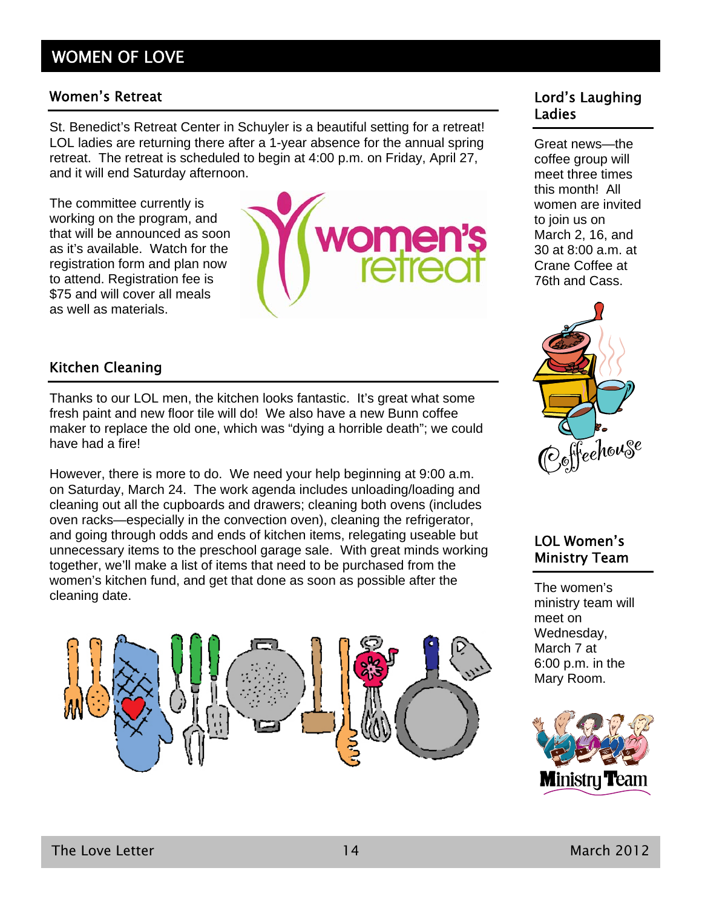### WOMEN OF LOVE

### Women's Retreat **Lord's Laughing**

St. Benedict's Retreat Center in Schuyler is a beautiful setting for a retreat! LOL ladies are returning there after a 1-year absence for the annual spring retreat. The retreat is scheduled to begin at 4:00 p.m. on Friday, April 27, and it will end Saturday afternoon.

The committee currently is working on the program, and that will be announced as soon as it's available. Watch for the registration form and plan now to attend. Registration fee is \$75 and will cover all meals as well as materials.



# Ladies

Great news—the coffee group will meet three times this month! All women are invited to join us on March 2, 16, and 30 at 8:00 a.m. at Crane Coffee at 76th and Cass.



### Kitchen Cleaning

Thanks to our LOL men, the kitchen looks fantastic. It's great what some fresh paint and new floor tile will do! We also have a new Bunn coffee maker to replace the old one, which was "dying a horrible death"; we could have had a fire!

However, there is more to do. We need your help beginning at 9:00 a.m. on Saturday, March 24. The work agenda includes unloading/loading and cleaning out all the cupboards and drawers; cleaning both ovens (includes oven racks—especially in the convection oven), cleaning the refrigerator, and going through odds and ends of kitchen items, relegating useable but unnecessary items to the preschool garage sale. With great minds working together, we'll make a list of items that need to be purchased from the women's kitchen fund, and get that done as soon as possible after the cleaning date.





The women's ministry team will meet on Wednesday, March 7 at 6:00 p.m. in the Mary Room.

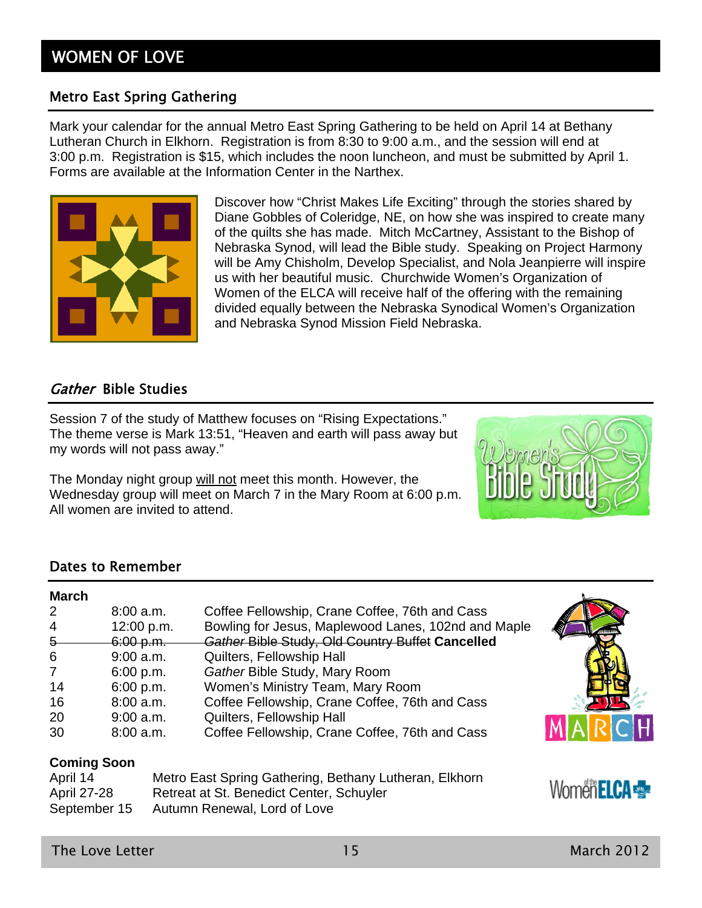### Metro East Spring Gathering

Mark your calendar for the annual Metro East Spring Gathering to be held on April 14 at Bethany Lutheran Church in Elkhorn. Registration is from 8:30 to 9:00 a.m., and the session will end at 3:00 p.m. Registration is \$15, which includes the noon luncheon, and must be submitted by April 1. Forms are available at the Information Center in the Narthex.



Discover how "Christ Makes Life Exciting" through the stories shared by Diane Gobbles of Coleridge, NE, on how she was inspired to create many of the quilts she has made. Mitch McCartney, Assistant to the Bishop of Nebraska Synod, will lead the Bible study. Speaking on Project Harmony will be Amy Chisholm, Develop Specialist, and Nola Jeanpierre will inspire us with her beautiful music. Churchwide Women's Organization of Women of the ELCA will receive half of the offering with the remaining divided equally between the Nebraska Synodical Women's Organization and Nebraska Synod Mission Field Nebraska.

### Gather Bible Studies

Session 7 of the study of Matthew focuses on "Rising Expectations." The theme verse is Mark 13:51, "Heaven and earth will pass away but my words will not pass away."

The Monday night group will not meet this month. However, the Wednesday group will meet on March 7 in the Mary Room at 6:00 p.m. All women are invited to attend.



### Dates to Remember

| <b>March</b>       |             |                                                        |                     |
|--------------------|-------------|--------------------------------------------------------|---------------------|
| $\overline{2}$     | 8:00a.m.    | Coffee Fellowship, Crane Coffee, 76th and Cass         |                     |
| $\overline{4}$     | 12:00 p.m.  | Bowling for Jesus, Maplewood Lanes, 102nd and Maple    |                     |
| $5 -$              | 6:00 p.m.   | Gather Bible Study, Old Country Buffet Cancelled       |                     |
| 6                  | $9:00$ a.m. | Quilters, Fellowship Hall                              |                     |
| $\overline{7}$     | 6:00 p.m.   | Gather Bible Study, Mary Room                          |                     |
| 14                 | 6:00 p.m.   | Women's Ministry Team, Mary Room                       |                     |
| 16                 | 8:00 a.m.   | Coffee Fellowship, Crane Coffee, 76th and Cass         |                     |
| 20                 | $9:00$ a.m. | Quilters, Fellowship Hall                              |                     |
| 30                 | 8:00 a.m.   | Coffee Fellowship, Crane Coffee, 76th and Cass         | MARCH               |
| <b>Coming Soon</b> |             |                                                        |                     |
| April 14           |             | Metro East Spring Gathering, Bethany Lutheran, Elkhorn |                     |
| <b>April 27-28</b> |             | Retreat at St. Benedict Center, Schuyler               | <b>Women ELCA ·</b> |
| September 15       |             | Autumn Renewal, Lord of Love                           |                     |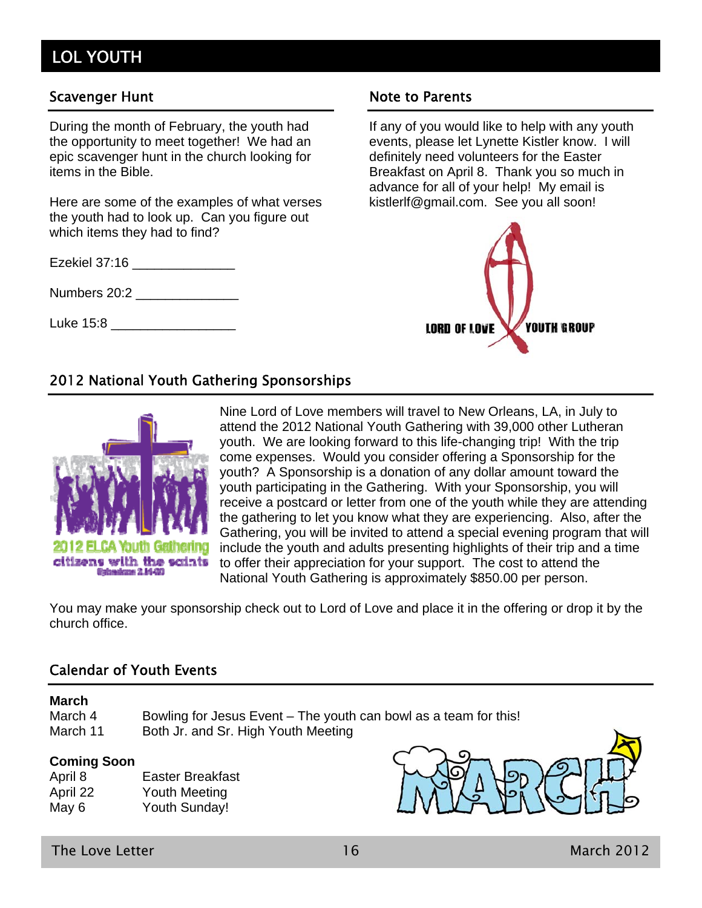## LOL YOUTH

### Scavenger Hunt Note to Parents

During the month of February, the youth had the opportunity to meet together! We had an epic scavenger hunt in the church looking for items in the Bible.

Here are some of the examples of what verses the youth had to look up. Can you figure out which items they had to find?

Ezekiel 37:16 \_\_\_\_\_\_\_\_\_\_\_\_\_\_

Numbers 20:2 \_\_\_\_\_\_\_\_\_\_\_\_\_\_

Luke 15:8 \_\_\_\_\_\_\_\_\_\_\_\_\_\_\_\_\_

If any of you would like to help with any youth events, please let Lynette Kistler know. I will definitely need volunteers for the Easter Breakfast on April 8. Thank you so much in advance for all of your help! My email is kistlerlf@gmail.com. See you all soon!



### 2012 National Youth Gathering Sponsorships



Nine Lord of Love members will travel to New Orleans, LA, in July to attend the 2012 National Youth Gathering with 39,000 other Lutheran youth. We are looking forward to this life-changing trip! With the trip come expenses. Would you consider offering a Sponsorship for the youth? A Sponsorship is a donation of any dollar amount toward the youth participating in the Gathering. With your Sponsorship, you will receive a postcard or letter from one of the youth while they are attending the gathering to let you know what they are experiencing. Also, after the Gathering, you will be invited to attend a special evening program that will include the youth and adults presenting highlights of their trip and a time to offer their appreciation for your support. The cost to attend the National Youth Gathering is approximately \$850.00 per person.

You may make your sponsorship check out to Lord of Love and place it in the offering or drop it by the church office.

### Calendar of Youth Events

### **March**

March 4 Bowling for Jesus Event – The youth can bowl as a team for this! March 11 Both Jr. and Sr. High Youth Meeting

#### **Coming Soon**

| April 8  | <b>Easter Breakfast</b> |
|----------|-------------------------|
| April 22 | Youth Meeting           |
| May 6    | <b>Youth Sunday!</b>    |



The Love Letter  $16$  March 2012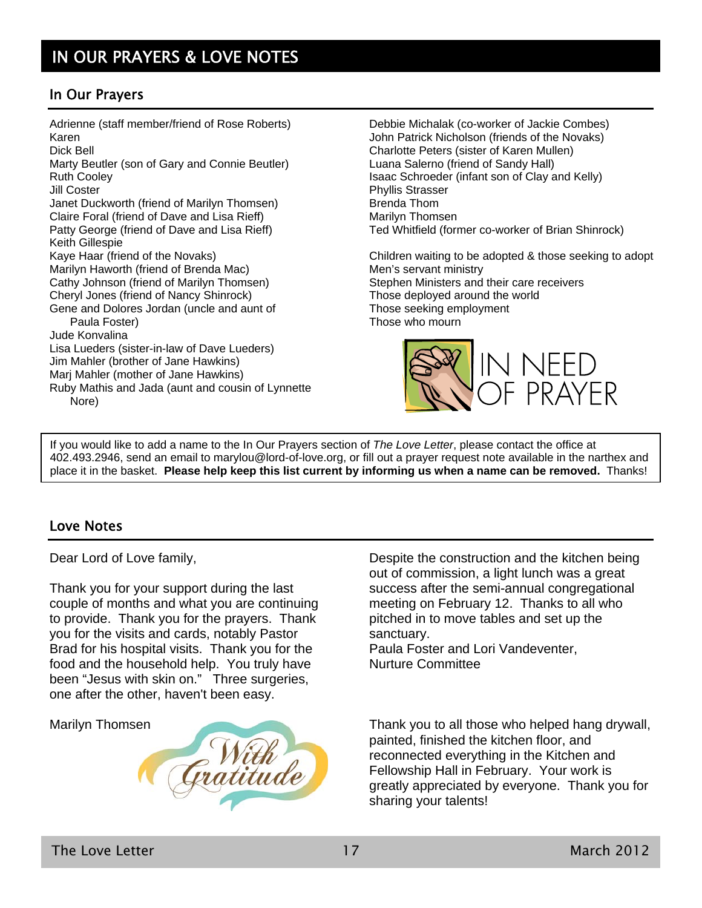### In Our Prayers

Adrienne (staff member/friend of Rose Roberts) Karen Dick Bell Marty Beutler (son of Gary and Connie Beutler) Ruth Cooley Jill Coster Janet Duckworth (friend of Marilyn Thomsen) Claire Foral (friend of Dave and Lisa Rieff) Patty George (friend of Dave and Lisa Rieff) Keith Gillespie Kaye Haar (friend of the Novaks) Marilyn Haworth (friend of Brenda Mac) Cathy Johnson (friend of Marilyn Thomsen) Cheryl Jones (friend of Nancy Shinrock) Gene and Dolores Jordan (uncle and aunt of Paula Foster) Jude Konvalina Lisa Lueders (sister-in-law of Dave Lueders) Jim Mahler (brother of Jane Hawkins) Marj Mahler (mother of Jane Hawkins) Ruby Mathis and Jada (aunt and cousin of Lynnette Nore)

Debbie Michalak (co-worker of Jackie Combes) John Patrick Nicholson (friends of the Novaks) Charlotte Peters (sister of Karen Mullen) Luana Salerno (friend of Sandy Hall) Isaac Schroeder (infant son of Clay and Kelly) Phyllis Strasser Brenda Thom Marilyn Thomsen Ted Whitfield (former co-worker of Brian Shinrock)

Children waiting to be adopted & those seeking to adopt Men's servant ministry Stephen Ministers and their care receivers Those deployed around the world Those seeking employment Those who mourn



If you would like to add a name to the In Our Prayers section of *The Love Letter*, please contact the office at 402.493.2946, send an email to marylou@lord-of-love.org, or fill out a prayer request note available in the narthex and place it in the basket. **Please help keep this list current by informing us when a name can be removed.** Thanks!

### Love Notes

Dear Lord of Love family,

Thank you for your support during the last couple of months and what you are continuing to provide. Thank you for the prayers. Thank you for the visits and cards, notably Pastor Brad for his hospital visits. Thank you for the food and the household help. You truly have been "Jesus with skin on." Three surgeries, one after the other, haven't been easy.

Marilyn Thomsen



Despite the construction and the kitchen being out of commission, a light lunch was a great success after the semi-annual congregational meeting on February 12. Thanks to all who pitched in to move tables and set up the sanctuary.

Paula Foster and Lori Vandeventer, Nurture Committee

Thank you to all those who helped hang drywall, painted, finished the kitchen floor, and reconnected everything in the Kitchen and Fellowship Hall in February. Your work is greatly appreciated by everyone. Thank you for sharing your talents!